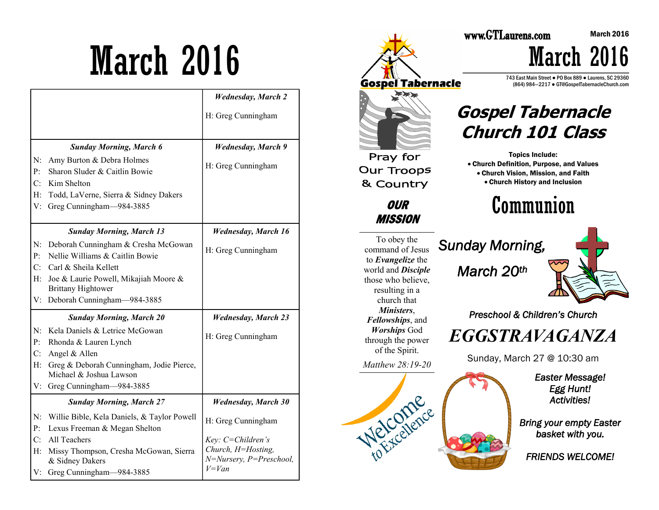# March 2016

|                |                                                                     | <b>Wednesday</b> , March 2                      |
|----------------|---------------------------------------------------------------------|-------------------------------------------------|
|                |                                                                     | H: Greg Cunningham                              |
|                |                                                                     |                                                 |
|                | <b>Sunday Morning, March 6</b>                                      | <b>Wednesday</b> , March 9                      |
| N:             | Amy Burton & Debra Holmes                                           | H: Greg Cunningham                              |
| P:             | Sharon Sluder & Caitlin Bowie                                       |                                                 |
| C:             | Kim Shelton                                                         |                                                 |
| H:             | Todd, LaVerne, Sierra & Sidney Dakers                               |                                                 |
| V:             | Greg Cunningham-984-3885                                            |                                                 |
|                |                                                                     |                                                 |
|                | <b>Sunday Morning, March 13</b>                                     | <b>Wednesday</b> , March 16                     |
| N:             | Deborah Cunningham & Cresha McGowan                                 | H: Greg Cunningham                              |
| P:             | Nellie Williams & Caitlin Bowie                                     |                                                 |
| C:             | Carl & Sheila Kellett                                               |                                                 |
| $H$ :          | Joe & Laurie Powell, Mikajiah Moore &                               |                                                 |
|                | <b>Brittany Hightower</b>                                           |                                                 |
|                | V: Deborah Cunningham-984-3885                                      |                                                 |
|                | <b>Sunday Morning, March 20</b>                                     | <b>Wednesday, March 23</b>                      |
| N:             | Kela Daniels & Letrice McGowan                                      | H: Greg Cunningham                              |
| P <sub>1</sub> | Rhonda & Lauren Lynch                                               |                                                 |
| C:             | Angel & Allen                                                       |                                                 |
| $H$ :          | Greg & Deborah Cunningham, Jodie Pierce,<br>Michael & Joshua Lawson |                                                 |
| V:             | Greg Cunningham-984-3885                                            |                                                 |
|                | <b>Sunday Morning, March 27</b>                                     | <b>Wednesday, March 30</b>                      |
| N:             | Willie Bible, Kela Daniels, & Taylor Powell                         |                                                 |
| $P$ :          | Lexus Freeman & Megan Shelton                                       | H: Greg Cunningham                              |
| C:             | All Teachers                                                        | Key: C=Children's                               |
| H:             | Missy Thompson, Cresha McGowan, Sierra<br>& Sidney Dakers           | Church, H=Hosting,<br>$N=Nursery, P=Preschool,$ |
| V:             | Greg Cunningham-984-3885                                            | $V = Van$                                       |



743 East Main Street ● PO Box 889 ● Laurens, SC 29360 (864) 984—2217 ● GT@GospelTabernacleChurch.com

March 2016

### **Gospel Tabernacle Church 101 Class**

 Church Definition, Purpose, and Values Church Vision, Mission, and Faith Church History and Inclusion

## *Preschool & Children's Church*

Sunday, March 27 @ 10:30 am

*Easter Message! Egg Hunt! Activities!* 

*Bring your empty Easter basket with you.* 

*FRIENDS WELCOME!*